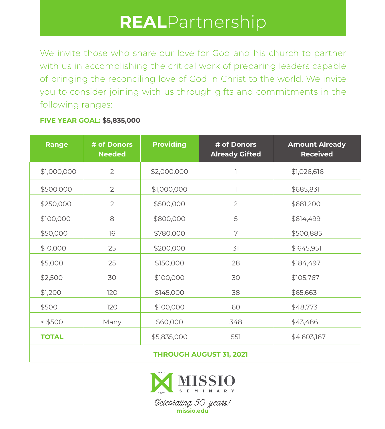## **REAL**Partnership

We invite those who share our love for God and his church to partner with us in accomplishing the critical work of preparing leaders capable of bringing the reconciling love of God in Christ to the world. We invite you to consider joining with us through gifts and commitments in the following ranges:

## **FIVE YEAR GOAL: \$5,835,000**

| Range        | # of Donors<br><b>Needed</b> | <b>Providing</b> | # of Donors<br><b>Already Gifted</b> | <b>Amount Already</b><br><b>Received</b> |
|--------------|------------------------------|------------------|--------------------------------------|------------------------------------------|
| \$1,000,000  | $\overline{2}$               | \$2,000,000      | ٦                                    | \$1,026,616                              |
| \$500,000    | $\overline{2}$               | \$1,000,000      | ı                                    | \$685,831                                |
| \$250,000    | $\overline{2}$               | \$500,000        | $\overline{2}$                       | \$681,200                                |
| \$100,000    | 8                            | \$800,000        | 5                                    | \$614,499                                |
| \$50,000     | 16                           | \$780,000        | 7                                    | \$500,885                                |
| \$10,000     | 25                           | \$200,000        | 31                                   | \$645,951                                |
| \$5,000      | 25                           | \$150,000        | 28                                   | \$184,497                                |
| \$2,500      | 30                           | \$100,000        | 30                                   | \$105,767                                |
| \$1,200      | 120                          | \$145,000        | 38                                   | \$65,663                                 |
| \$500        | 120                          | \$100,000        | 60                                   | \$48,773                                 |
| $<$ \$500    | Many                         | \$60,000         | 348                                  | \$43,486                                 |
| <b>TOTAL</b> |                              | \$5,835,000      | 551                                  | \$4,603,167                              |
|              |                              |                  |                                      |                                          |

**THROUGH AUGUST 31, 2021**